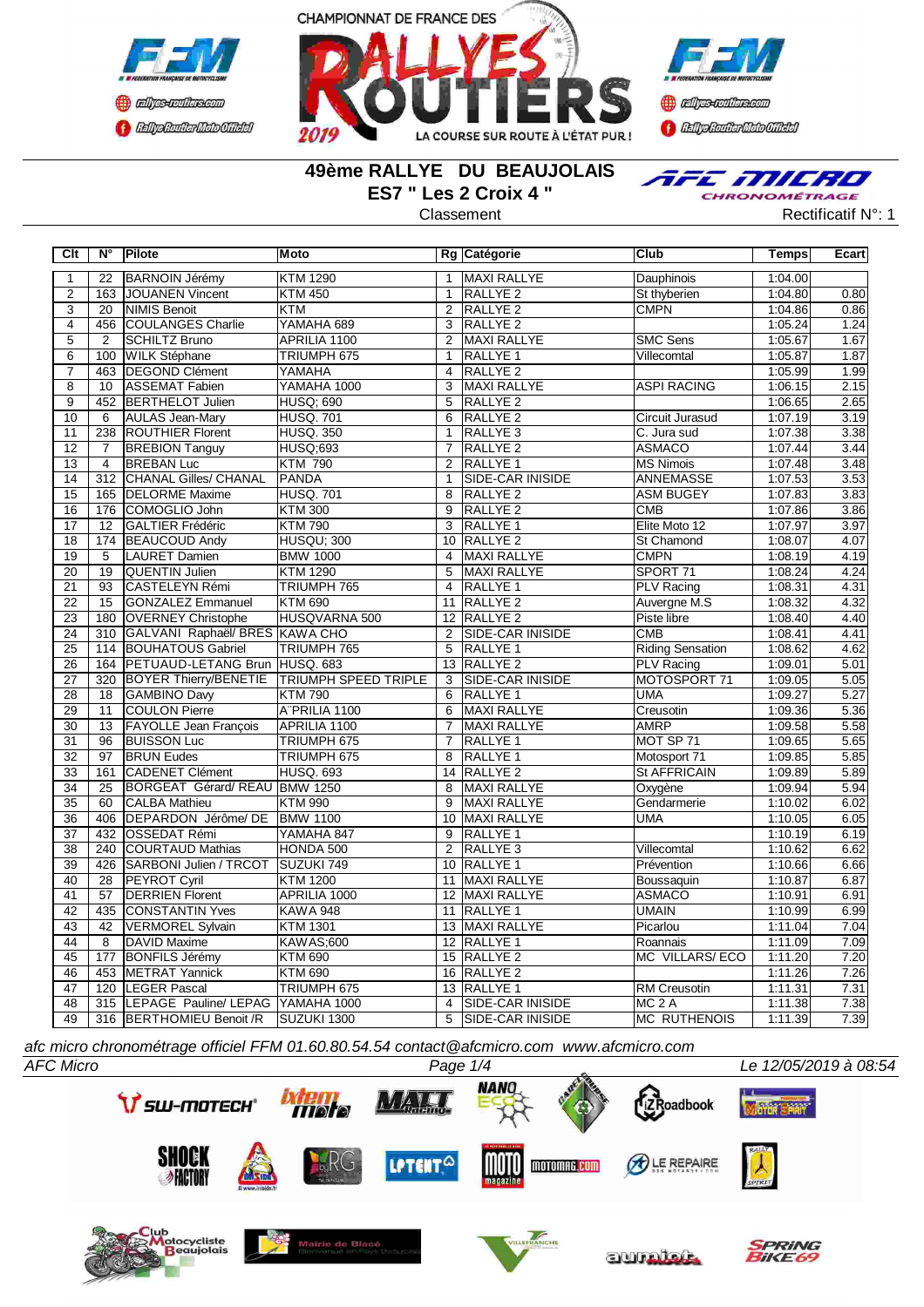



**Confederation CENTRAL MEDICATE** 

### **49ème RALLYE DU BEAUJOLAIS ES7 " Les 2 Croix 4 "**



Classement **Classement** Rectificatif N°: 1

| Clt             |                | $N^{\circ}$ Pilote                             | Moto                             |                | Rg Catégorie                           | <b>Club</b>             | <b>Temps</b>       | Ecart        |
|-----------------|----------------|------------------------------------------------|----------------------------------|----------------|----------------------------------------|-------------------------|--------------------|--------------|
| $\mathbf{1}$    | 22             | <b>BARNOIN Jérémy</b>                          | <b>KTM 1290</b>                  | $\mathbf{1}$   | MAXI RALLYE                            | Dauphinois              | 1:04.00            |              |
| $\overline{2}$  |                | 163 JJOUANEN Vincent                           | <b>KTM 450</b>                   | $\mathbf{1}$   | RALLYE <sub>2</sub>                    | St thyberien            | 1:04.80            | 0.80         |
| 3               | 20             | <b>NIMIS Benoit</b>                            | <b>KTM</b>                       | 2              | <b>RALLYE 2</b>                        | <b>CMPN</b>             | 1:04.86            | 0.86         |
| $\overline{4}$  | 456            | <b>COULANGES Charlie</b>                       | YAMAHA 689                       | 3              | RALLYE <sub>2</sub>                    |                         | 1:05.24            | 1.24         |
| $\overline{5}$  | $\overline{2}$ | SCHILTZ Bruno                                  | APRILIA 1100                     | 2              | <b>MAXI RALLYE</b>                     | <b>SMC Sens</b>         | 1:05.67            | 1.67         |
| $\overline{6}$  | 100            | <b>WILK Stéphane</b>                           | TRIUMPH 675                      | $\mathbf{1}$   | RALLYE <sub>1</sub>                    | Villecomtal             | 1:05.87            | 1.87         |
| $\overline{7}$  |                | 463  DEGOND Clément                            | YAMAHA                           | $\overline{4}$ | RALLYE <sub>2</sub>                    |                         | 1:05.99            | 1.99         |
| $\overline{8}$  | 10             | ASSEMAT Fabien                                 | YAMAHA 1000                      | 3              | MAXI RALLYE                            | ASPI RACING             | 1:06.15            | 2.15         |
| $\overline{9}$  |                | 452 BERTHELOT Julien                           | <b>HUSQ; 690</b>                 | 5              | RALLYE <sub>2</sub>                    |                         | 1:06.65            | 2.65         |
| 10              | 6              | <b>AULAS Jean-Mary</b>                         | <b>HUSQ.701</b>                  | 6              | RALLYE <sub>2</sub>                    | Circuit Jurasud         | 1:07.19            | 3.19         |
| 11              | 238            | <b>ROUTHIER Florent</b>                        | <b>HUSQ. 350</b>                 | $\mathbf{1}$   | RALLYE <sub>3</sub>                    | C. Jura sud             | 1:07.38            | 3.38         |
| 12              | $\overline{7}$ | <b>BREBION Tanguy</b>                          | <b>HUSQ;693</b>                  | $\overline{7}$ | RALLYE <sub>2</sub>                    | <b>ASMACO</b>           | 1:07.44            | 3.44         |
| $\overline{13}$ | $\overline{4}$ | <b>BREBAN Luc</b>                              | <b>KTM 790</b>                   | $\overline{2}$ | <b>RALLYE 1</b>                        | <b>MS Nimois</b>        | 1:07.48            | 3.48         |
| $\overline{14}$ | 312            | <b>CHANAL Gilles/ CHANAL</b>                   | <b>PANDA</b>                     | $\mathbf{1}$   | <b>SIDE-CAR INISIDE</b>                | <b>ANNEMASSE</b>        | 1:07.53            | 3.53         |
| $\overline{15}$ | 165            | <b>DELORME</b> Maxime                          | <b>HUSQ. 701</b>                 | 8              | RALLYE <sub>2</sub>                    | <b>ASM BUGEY</b>        | 1:07.83            | 3.83         |
| 16              | 176            | COMOGLIO John                                  | <b>KTM 300</b>                   | 9              | RALLYE <sub>2</sub>                    | <b>CMB</b>              | 1:07.86            | 3.86         |
| 17              | 12             | <b>GALTIER Frédéric</b>                        | <b>KTM790</b>                    | 3              | RALLYE 1                               | Elite Moto 12           | 1:07.97            | 3.97         |
| $\overline{18}$ |                | 174 BEAUCOUD Andy                              | <b>HUSQU: 300</b>                | 10             | <b>RALLYE 2</b>                        | <b>St Chamond</b>       | 1:08.07            | 4.07         |
| 19              | 5              | LAURET Damien                                  | <b>BMW 1000</b>                  | $\overline{4}$ | MAXI RALLYE                            | <b>CMPN</b>             | 1:08.19            | 4.19         |
| 20              | 19             | QUENTIN Julien                                 | <b>KTM 1290</b>                  | 5              | MAXI RALLYE                            | SPORT 71                | 1:08.24            | 4.24         |
| 21              | 93             | CASTELEYN Rémi                                 | TRIUMPH 765                      | $\overline{4}$ | RALLYE <sub>1</sub>                    | <b>PLV Racing</b>       | 1:08.31            | 4.31         |
| 22              | 15             | <b>GONZALEZ Emmanuel</b>                       | <b>KTM 690</b>                   | 11             | RALLYE <sub>2</sub>                    | Auvergne M.S            | 1:08.32            | 4.32         |
| 23              | 180            | <b>OVERNEY Christophe</b>                      | HUSQVARNA 500                    |                | 12 RALLYE 2                            | Piste libre             | 1:08.40            | 4.40         |
| $\overline{24}$ |                | 310 GALVANI Raphaël/ BRES KAWA CHO             |                                  | 2              | SIDE-CAR INISIDE                       | CMB                     | 1:08.41            | 4.41         |
| $\overline{25}$ |                | 114 BOUHATOUS Gabriel                          | TRIUMPH 765                      | 5              | <b>RALLYE 1</b>                        | <b>Riding Sensation</b> | 1:08.62            | 4.62         |
| 26              |                | 164   PETUAUD-LETANG Brun HUSQ. 683            |                                  |                | 13 RALLYE 2                            | <b>PLV Racing</b>       | 1:09.01            | 5.01         |
| $\overline{27}$ |                | 320 BOYER Thierry/BENETIE TRIUMPH SPEED TRIPLE |                                  | 3              | SIDE-CAR INISIDE                       | MOTOSPORT 71            | 1:09.05            | 5.05         |
| $\overline{28}$ | 18             | GAMBINO Davy                                   | <b>KTM790</b>                    | 6              | <b>RALLYE 1</b>                        | UMA                     | 1:09.27            | 5.27         |
| 29              | 11             | <b>COULON Pierre</b>                           | A"PRILIA 1100                    | 6              | MAXI RALLYE                            | Creusotin               | 1:09.36            | 5.36         |
| 30              | 13             | <b>FAYOLLE Jean François</b>                   | APRILIA 1100                     | $\overline{7}$ | MAXI RALLYE                            | <b>AMRP</b>             | 1:09.58            | 5.58         |
| 31              | 96             | <b>BUISSON Luc</b>                             | TRIUMPH 675                      | $\overline{7}$ | RALLYE <sub>1</sub>                    | MOT SP 71               | 1:09.65            | 5.65         |
| $\overline{32}$ | 97             | <b>BRUN Eudes</b>                              | TRIUMPH 675                      | 8              | <b>RALLYE 1</b>                        | Motosport 71            | 1:09.85            | 5.85         |
| $\overline{33}$ | 161            | <b>CADENET Clément</b>                         | <b>HUSQ. 693</b>                 |                | 14 RALLYE 2                            | <b>St AFFRICAIN</b>     | 1:09.89            | 5.89         |
| 34              | 25             | BORGEAT Gérard/REAU BMW 1250                   |                                  | 8              | MAXI RALLYE                            | Oxygène                 | 1:09.94            | 5.94         |
| 35              | 60             | <b>CALBA Mathieu</b>                           | <b>KTM 990</b>                   | 9              | MAXI RALLYE                            | Gendarmerie             | 1:10.02            | 6.02         |
| 36              | 406            | DEPARDON Jérôme/ DE BMW 1100                   |                                  | 10             | MAXI RALLYE                            | UMA                     | 1:10.05            | 6.05         |
| $\overline{37}$ | 432            | <b>OSSEDAT Rémi</b>                            | YAMAHA 847                       | 9              | RALLYE 1                               |                         | 1:10.19            | 6.19         |
| $\overline{38}$ | 240            | <b>COURTAUD Mathias</b>                        | HONDA 500                        | 2              | RALLYE <sub>3</sub>                    | Villecomtal             | 1:10.62            | 6.62         |
| 39              | 426            | SARBONI Julien / TRCOT SUZUKI 749              |                                  |                | 10 RALLYE 1                            | Prévention              | 1:10.66            | 6.66         |
| 40              | 28             | <b>PEYROT Cyril</b>                            | <b>KTM 1200</b>                  |                | 11 MAXI RALLYE                         | Boussaquin              | 1:10.87            | 6.87         |
| 41              | 57             | <b>DERRIEN Florent</b>                         | APRILIA 1000                     |                | 12 MAXI RALLYE                         | <b>ASMACO</b>           | 1:10.91            | 6.91         |
| 42              | 435            | <b>CONSTANTIN Yves</b>                         | <b>KAWA 948</b>                  | 11             | <b>RALLYE 1</b>                        | <b>UMAIN</b>            | 1:10.99            | 6.99         |
| 43              | 42             | <b>VERMOREL Sylvain</b>                        | <b>KTM 1301</b>                  |                | 13 MAXI RALLYE                         | Picarlou                | 1:11.04            | 7.04<br>7.09 |
| 44              | 8              | DAVID Maxime                                   | <b>KAWAS;600</b>                 |                | 12 RALLYE 1                            | Roannais                | 1:11.09            |              |
| 45<br>46        | 177<br>453     | <b>BONFILS Jérémy</b><br><b>METRAT Yannick</b> | <b>KTM 690</b><br><b>KTM 690</b> | 15<br>16       | RALLYE <sub>2</sub><br><b>RALLYE 2</b> | MC VILLARS/ECO          | 1:11.20<br>1:11.26 | 7.20<br>7.26 |
| 47              |                | 120  LEGER Pascal                              | TRIUMPH 675                      |                | 13 RALLYE 1                            | RM Creusotin            | 1:11.31            | 7.31         |
| 48              |                | 315 LEPAGE Pauline/ LEPAG YAMAHA 1000          |                                  | $\overline{4}$ | SIDE-CAR INISIDE                       | $MC2$ A                 | 1:11.38            | 7.38         |
| 49              |                | 316 BERTHOMIEU Benoit /R                       | SUZUKI 1300                      | 5              | <b>SIDE-CAR INISIDE</b>                | <b>MC RUTHENOIS</b>     | 1:11.39            | 7.39         |
|                 |                |                                                |                                  |                |                                        |                         |                    |              |

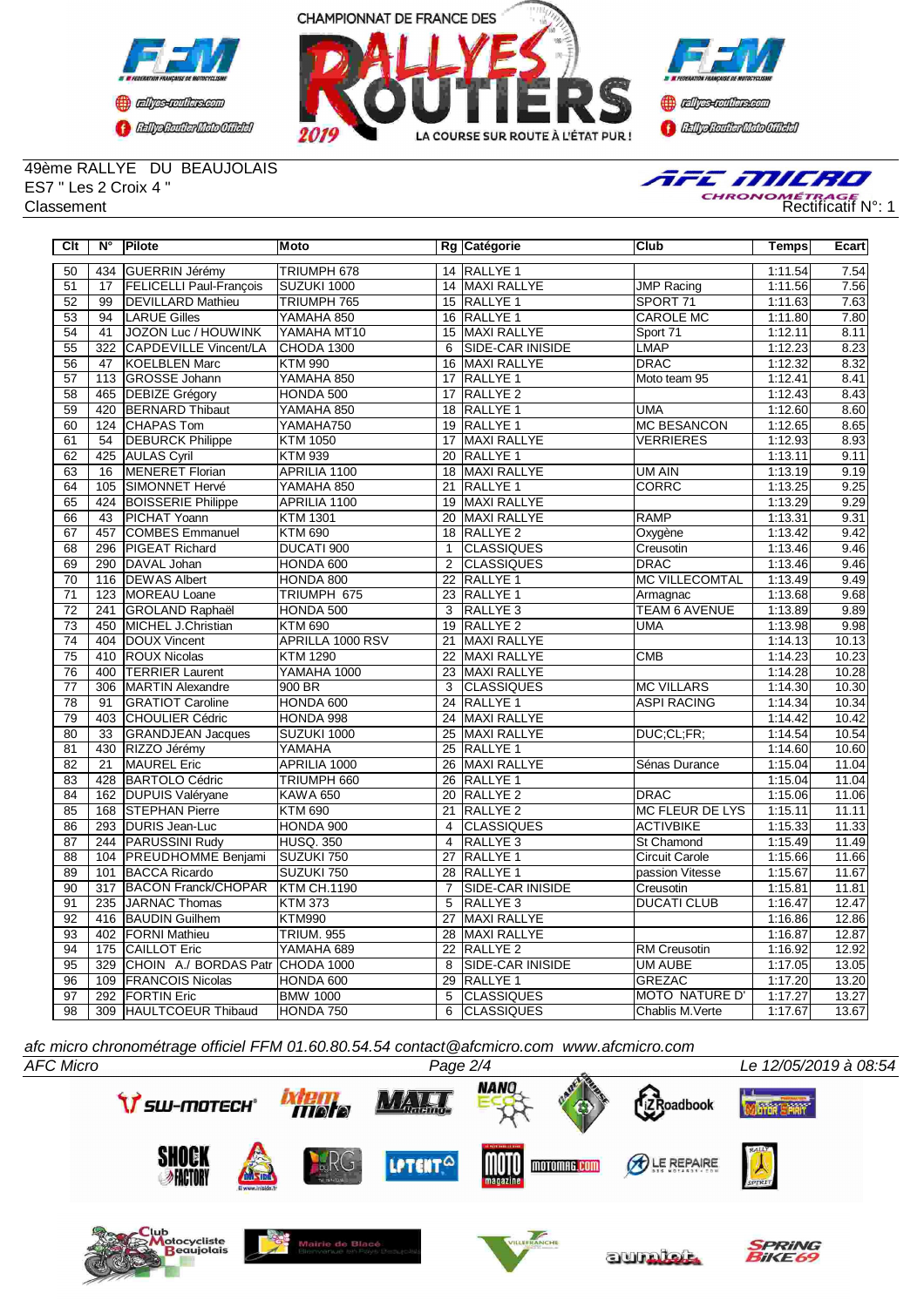





49ème RALLYE DU BEAUJOLAIS ES7 " Les 2 Croix 4 "



| Clt             | $N^{\circ}$      | Pilote                           | <b>Moto</b>        |                 | Rg Catégorie            | Club                   | Temps   | Ecart |
|-----------------|------------------|----------------------------------|--------------------|-----------------|-------------------------|------------------------|---------|-------|
| 50              | 434              | GUERRIN Jérémy                   | TRIUMPH 678        |                 | 14 RALLYE 1             |                        | 1:11.54 | 7.54  |
| 51              | $\overline{17}$  | <b>FELICELLI Paul-Francois</b>   | SUZUKI 1000        |                 | 14 MAXI RALLYE          | <b>JMP Racing</b>      | 1:11.56 | 7.56  |
| 52              | 99               | <b>DEVILLARD Mathieu</b>         | TRIUMPH 765        | 15              | <b>RALLYE 1</b>         | SPORT 71               | 1:11.63 | 7.63  |
| 53              | 94               | <b>LARUE Gilles</b>              | YAMAHA 850         | 16              | <b>RALLYE 1</b>         | <b>CAROLE MC</b>       | 1:11.80 | 7.80  |
| 54              | 41               | <b>JOZON Luc / HOUWINK</b>       | YAMAHA MT10        | 15              | <b>MAXI RALLYE</b>      | Sport 71               | 1:12.11 | 8.11  |
| 55              | 322              | <b>CAPDEVILLE Vincent/LA</b>     | CHODA 1300         | 6               | SIDE-CAR INISIDE        | <b>LMAP</b>            | 1:12.23 | 8.23  |
| 56              | 47               | KOELBLEN Marc                    | <b>KTM 990</b>     | 16              | <b>MAXI RALLYE</b>      | <b>DRAC</b>            | 1:12.32 | 8.32  |
| 57              | 113              | GROSSE Johann                    | YAMAHA 850         | 17              | RALLYE <sub>1</sub>     | Moto team 95           | 1:12.41 | 8.41  |
| 58              | 465              | <b>DEBIZE Grégory</b>            | HONDA 500          | 17              | <b>RALLYE 2</b>         |                        | 1:12.43 | 8.43  |
| 59              | 420              | <b>BERNARD Thibaut</b>           | YAMAHA 850         | 18              | RALLYE <sub>1</sub>     | <b>UMA</b>             | 1:12.60 | 8.60  |
| 60              | 124              | <b>CHAPAS Tom</b>                | YAMAHA750          | 19              | <b>RALLYE 1</b>         | <b>MC BESANCON</b>     | 1:12.65 | 8.65  |
| 61              | 54               | <b>DEBURCK Philippe</b>          | <b>KTM 1050</b>    | 17              | MAXI RALLYE             | <b>VERRIERES</b>       | 1:12.93 | 8.93  |
| 62              | 425              | <b>AULAS Cyril</b>               | <b>KTM 939</b>     | $\overline{20}$ | <b>RALLYE 1</b>         |                        | 1:13.11 | 9.11  |
| 63              | 16               | MENERET Florian                  | APRILIA 1100       | 18              | MAXI RALLYE             | UM AIN                 | 1:13.19 | 9.19  |
| 64              | 105              | SIMONNET Hervé                   | YAMAHA 850         | 21              | RALLYE 1                | <b>CORRC</b>           | 1:13.25 | 9.25  |
| 65              | 424              | <b>BOISSERIE Philippe</b>        | APRILIA 1100       | 19              | <b>MAXI RALLYE</b>      |                        | 1:13.29 | 9.29  |
| 66              | 43               | <b>PICHAT Yoann</b>              | <b>KTM 1301</b>    | 20              | <b>MAXI RALLYE</b>      | <b>RAMP</b>            | 1:13.31 | 9.31  |
| 67              | 457              | <b>COMBES Emmanuel</b>           | <b>KTM 690</b>     | 18              | <b>RALLYE 2</b>         | Oxygène                | 1:13.42 | 9.42  |
| 68              | 296              | <b>PIGEAT Richard</b>            | DUCATI 900         | $\mathbf{1}$    | <b>CLASSIQUES</b>       | Creusotin              | 1:13.46 | 9.46  |
| 69              | 290              | DAVAL Johan                      | HONDA 600          | $\overline{2}$  | <b>CLASSIQUES</b>       | <b>DRAC</b>            | 1:13.46 | 9.46  |
| $\overline{70}$ | 116              | <b>DEWAS Albert</b>              | HONDA 800          | 22              | <b>RALLYE 1</b>         | <b>MC VILLECOMTAL</b>  | 1:13.49 | 9.49  |
| $\overline{71}$ | $\overline{123}$ | MOREAU Loane                     | TRIUMPH 675        | $\overline{23}$ | <b>RALLYE 1</b>         | Armagnac               | 1:13.68 | 9.68  |
| $\overline{72}$ | 241              | <b>GROLAND Raphaël</b>           | HONDA 500          | 3               | RALLYE <sub>3</sub>     | <b>TEAM 6 AVENUE</b>   | 1:13.89 | 9.89  |
| 73              | 450              | MICHEL J.Christian               | <b>KTM 690</b>     | 19              | <b>RALLYE 2</b>         | <b>UMA</b>             | 1:13.98 | 9.98  |
| $\overline{74}$ | 404              | DOUX Vincent                     | APRILLA 1000 RSV   | 21              | <b>MAXI RALLYE</b>      |                        | 1:14.13 | 10.13 |
| 75              | 410              | <b>ROUX Nicolas</b>              | <b>KTM 1290</b>    | 22              | <b>MAXI RALLYE</b>      | <b>CMB</b>             | 1:14.23 | 10.23 |
| 76              | 400              | <b>TERRIER Laurent</b>           | YAMAHA 1000        | 23              | <b>MAXI RALLYE</b>      |                        | 1:14.28 | 10.28 |
| $\overline{77}$ | 306              | <b>MARTIN Alexandre</b>          | 900 BR             | $\overline{3}$  | <b>CLASSIQUES</b>       | <b>MC VILLARS</b>      | 1:14.30 | 10.30 |
| 78              | 91               | <b>GRATIOT Caroline</b>          | HONDA 600          | 24              | <b>RALLYE 1</b>         | <b>ASPI RACING</b>     | 1:14.34 | 10.34 |
| 79              | 403              | <b>CHOULIER Cédric</b>           | HONDA 998          | $\overline{24}$ | <b>MAXI RALLYE</b>      |                        | 1:14.42 | 10.42 |
| 80              | $\overline{33}$  | <b>GRANDJEAN Jacques</b>         | SUZUKI 1000        | 25              | <b>MAXI RALLYE</b>      | DUC;CL;FR;             | 1:14.54 | 10.54 |
| 81              | 430              | RIZZO Jérémy                     | YAMAHA             | 25              | RALLYE 1                |                        | 1:14.60 | 10.60 |
| 82              | $\overline{21}$  | <b>MAUREL</b> Eric               | APRILIA 1000       | 26              | MAXI RALLYE             | Sénas Durance          | 1:15.04 | 11.04 |
| 83              | 428              | <b>BARTOLO Cédric</b>            | TRIUMPH 660        | 26              | RALLYE 1                |                        | 1:15.04 | 11.04 |
| 84              |                  | 162 DUPUIS Valéryane             | <b>KAWA 650</b>    | 20              | <b>RALLYE 2</b>         | DRAC                   | 1:15.06 | 11.06 |
| 85              | 168              | <b>STEPHAN Pierre</b>            | <b>KTM 690</b>     | 21              | RALLYE <sub>2</sub>     | <b>MC FLEUR DE LYS</b> | 1:15.11 | 11.11 |
| 86              | 293              | <b>DURIS Jean-Luc</b>            | HONDA 900          | 4               | <b>CLASSIQUES</b>       | <b>ACTIVBIKE</b>       | 1:15.33 | 11.33 |
| 87              | 244              | <b>PARUSSINI Rudy</b>            | <b>HUSQ. 350</b>   | 4               | RALLYE <sub>3</sub>     | <b>St Chamond</b>      | 1:15.49 | 11.49 |
| 88              | 104              | <b>PREUDHOMME</b> Benjami        | SUZUKI 750         | 27              | <b>RALLYE 1</b>         | <b>Circuit Carole</b>  | 1:15.66 | 11.66 |
| 89              | 101              | <b>BACCA Ricardo</b>             | SUZUKI 750         | 28              | <b>RALLYE 1</b>         | passion Vitesse        | 1:15.67 | 11.67 |
| 90              | $\overline{317}$ | <b>BACON Franck/CHOPAR</b>       | <b>KTM CH.1190</b> | $\overline{7}$  | <b>SIDE-CAR INISIDE</b> | Creusotin              | 1:15.81 | 11.81 |
| 91              | 235              | JARNAC Thomas                    | <b>KTM 373</b>     | 5               | RALLYE 3                | <b>DUCATI CLUB</b>     | 1:16.47 | 12.47 |
| 92              | 416              | <b>BAUDIN Guilhem</b>            | <b>KTM990</b>      | 27              | MAXI RALLYE             |                        | 1:16.86 | 12.86 |
| 93              | 402              | <b>FORNI Mathieu</b>             | <b>TRIUM. 955</b>  | 28              | MAXI RALLYE             |                        | 1:16.87 | 12.87 |
| 94              | 175              | <b>CAILLOT Eric</b>              | YAMAHA 689         | 22              | RALLYE 2                | RM Creusotin           | 1:16.92 | 12.92 |
| 95              | 329              | CHOIN A./ BORDAS Patr CHODA 1000 |                    | 8               | SIDE-CAR INISIDE        | <b>UM AUBE</b>         | 1:17.05 | 13.05 |
| 96              | 109              | <b>FRANCOIS Nicolas</b>          | HONDA 600          | 29              | RALLYE 1                | <b>GREZAC</b>          | 1:17.20 | 13.20 |
| 97              | 292              | <b>FORTIN Eric</b>               | <b>BMW 1000</b>    | 5               | <b>CLASSIQUES</b>       | <b>MOTO NATURE D'</b>  | 1:17.27 | 13.27 |
| 98              | 309              | HAULTCOEUR Thibaud               | HONDA 750          | $\overline{6}$  | <b>CLASSIQUES</b>       | Chablis M. Verte       | 1:17.67 | 13.67 |

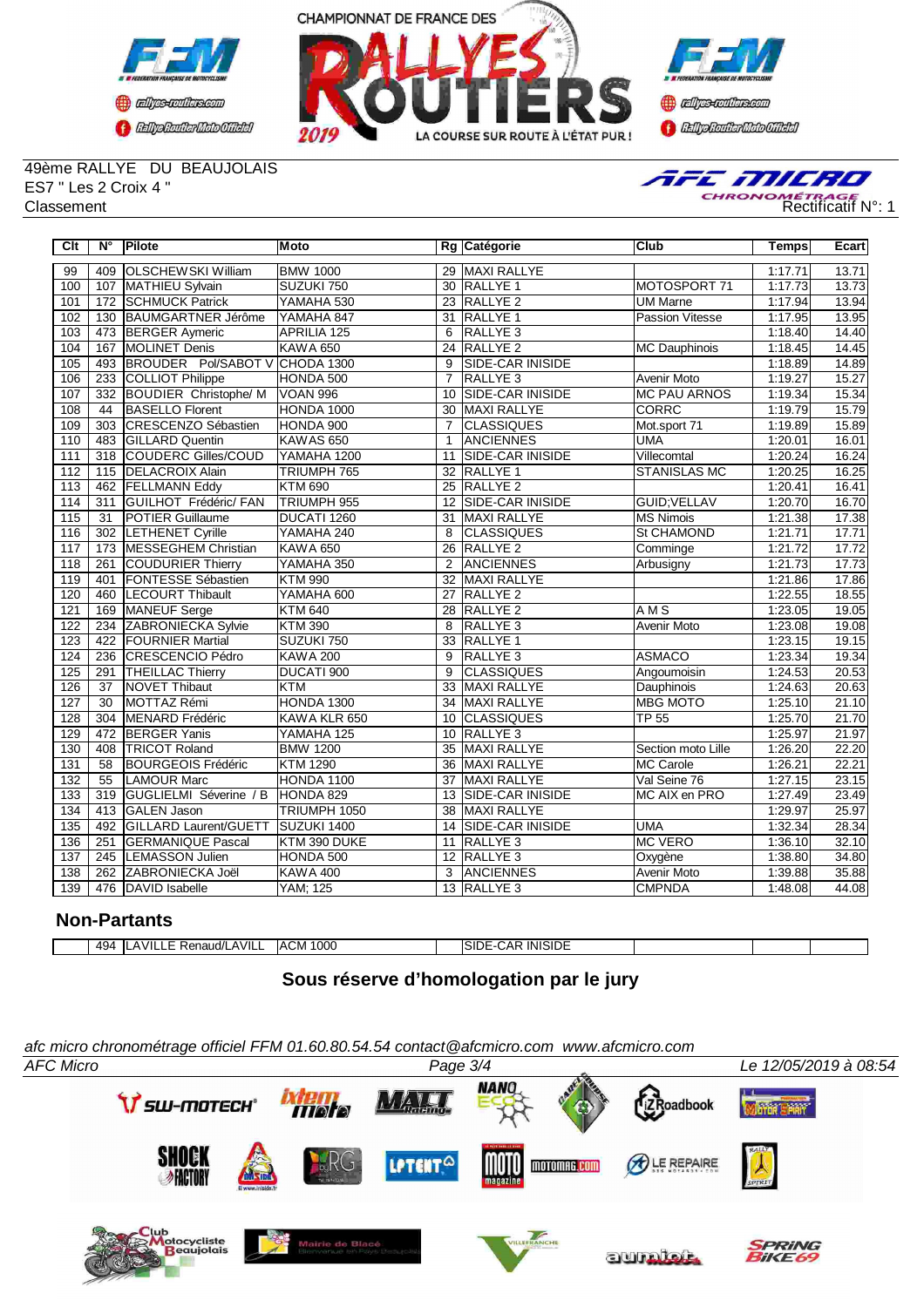





49ème RALLYE DU BEAUJOLAIS ES7 " Les 2 Croix 4 "



| Clt              | $\overline{\mathsf{N}^{\circ}}$ | Pilote                         | Moto                 |                 | Rg Catégorie            | Club                  | <b>Temps</b> | Ecart |
|------------------|---------------------------------|--------------------------------|----------------------|-----------------|-------------------------|-----------------------|--------------|-------|
| 99               | 409                             | <b>OLSCHEWSKI William</b>      | <b>BMW 1000</b>      | 29              | <b>MAXI RALLYE</b>      |                       | 1:17.71      | 13.71 |
| 100              | 107                             | MATHIEU Sylvain                | SUZUKI 750           | 30              | <b>RALLYE 1</b>         | <b>MOTOSPORT 71</b>   | 1:17.73      | 13.73 |
| 101              |                                 | 172 SCHMUCK Patrick            | YAMAHA 530           |                 | 23 RALLYE 2             | <b>UM Marne</b>       | 1:17.94      | 13.94 |
| 102              | 130                             | BAUMGARTNER Jérôme             | YAMAHA 847           | 31              | <b>RALLYE 1</b>         | Passion Vitesse       | 1:17.95      | 13.95 |
| 103              |                                 | 473 BERGER Aymeric             | <b>APRILIA 125</b>   | 6               | RALLYE <sub>3</sub>     |                       | 1:18.40      | 14.40 |
| 104              |                                 | 167 MOLINET Denis              | <b>KAWA 650</b>      | 24              | <b>RALLYE 2</b>         | MC Dauphinois         | 1:18.45      | 14.45 |
| 105              | 493                             | BROUDER Pol/SABOT V CHODA 1300 |                      | 9               | <b>SIDE-CAR INISIDE</b> |                       | 1:18.89      | 14.89 |
| 106              | 233                             | <b>COLLIOT Philippe</b>        | HONDA 500            | $\overline{7}$  | <b>RALLYE 3</b>         | <b>Avenir Moto</b>    | 1:19.27      | 15.27 |
| 107              | 332                             | <b>BOUDIER Christophe/ M</b>   | <b>VOAN 996</b>      | 10              | <b>SIDE-CAR INISIDE</b> | <b>MC PAU ARNOS</b>   | 1:19.34      | 15.34 |
| 108              | 44                              | <b>BASELLO Florent</b>         | HONDA 1000           | 30              | <b>MAXI RALLYE</b>      | <b>CORRC</b>          | 1:19.79      | 15.79 |
| 109              | 303                             | CRESCENZO Sébastien            | HONDA 900            | $\overline{7}$  | <b>CLASSIQUES</b>       | Mot.sport 71          | 1:19.89      | 15.89 |
| 110              | 483                             | <b>GILLARD Quentin</b>         | KAWAS <sub>650</sub> | $\mathbf{1}$    | <b>ANCIENNES</b>        | <b>UMA</b>            | 1:20.01      | 16.01 |
| 111              | 318                             | <b>COUDERC Gilles/COUD</b>     | YAMAHA 1200          | 11              | <b>SIDE-CAR INISIDE</b> | Villecomtal           | 1:20.24      | 16.24 |
| 112              | 115                             | <b>DELACROIX Alain</b>         | TRIUMPH 765          | 32              | <b>RALLYE 1</b>         | <b>STANISLAS MC</b>   | 1:20.25      | 16.25 |
| 113              | 462                             | <b>FELLMANN Eddy</b>           | <b>KTM 690</b>       | $\overline{25}$ | <b>RALLYE 2</b>         |                       | 1:20.41      | 16.41 |
| 114              | 311                             | GUILHOT Frédéric/ FAN          | TRIUMPH 955          | 12              | SIDE-CAR INISIDE        | GUID; VELLAV          | 1:20.70      | 16.70 |
| 115              | $\overline{31}$                 | <b>POTIER Guillaume</b>        | DUCATI 1260          | 31              | <b>MAXI RALLYE</b>      | <b>MS Nimois</b>      | 1:21.38      | 17.38 |
| 116              | 302                             | <b>LETHENET Cyrille</b>        | YAMAHA 240           | 8               | <b>CLASSIQUES</b>       | <b>St CHAMOND</b>     | 1:21.71      | 17.71 |
| $\overline{117}$ | 173                             | <b>MESSEGHEM Christian</b>     | <b>KAWA 650</b>      | 26              | RALLYE <sub>2</sub>     | Comminge              | 1:21.72      | 17.72 |
| 118              | 261                             | <b>COUDURIER Thierry</b>       | YAMAHA 350           | 2               | <b>ANCIENNES</b>        | Arbusigny             | 1:21.73      | 17.73 |
| 119              | 401                             | <b>FONTESSE Sébastien</b>      | <b>KTM 990</b>       | $\overline{32}$ | <b>MAXI RALLYE</b>      |                       | 1:21.86      | 17.86 |
| 120              | 460                             | <b>LECOURT Thibault</b>        | YAMAHA 600           | $\overline{27}$ | <b>RALLYE 2</b>         |                       | 1:22.55      | 18.55 |
| 121              | 169                             | <b>MANEUF Serge</b>            | <b>KTM 640</b>       | 28              | <b>RALLYE 2</b>         | <b>AMS</b>            | 1:23.05      | 19.05 |
| 122              | 234                             | <b>ZABRONIECKA Sylvie</b>      | <b>KTM 390</b>       | 8               | RALLYE <sub>3</sub>     | Avenir Moto           | 1:23.08      | 19.08 |
| $\overline{123}$ | 422                             | <b>FOURNIER Martial</b>        | SUZUKI 750           | 33              | RALLYE <sub>1</sub>     |                       | 1:23.15      | 19.15 |
| 124              | 236                             | CRESCENCIO Pédro               | <b>KAWA 200</b>      | 9               | RALLYE <sub>3</sub>     | <b>ASMACO</b>         | 1:23.34      | 19.34 |
| 125              | 291                             | <b>THEILLAC Thierry</b>        | DUCATI 900           | 9               | <b>CLASSIQUES</b>       | Angoumoisin           | 1:24.53      | 20.53 |
| 126              | $\overline{37}$                 | <b>NOVET Thibaut</b>           | <b>KTM</b>           | 33              | <b>MAXI RALLYE</b>      | Dauphinois            | 1:24.63      | 20.63 |
| 127              | $\overline{30}$                 | MOTTAZ Rémi                    | <b>HONDA 1300</b>    | 34              | <b>MAXI RALLYE</b>      | <b>MBG MOTO</b>       | 1:25.10      | 21.10 |
| 128              | 304                             | MENARD Frédéric                | KAWA KLR 650         | 10              | <b>CLASSIQUES</b>       | <b>TP 55</b>          | 1:25.70      | 21.70 |
| 129              | 472                             | <b>BERGER Yanis</b>            | YAMAHA 125           | 10              | RALLYE <sub>3</sub>     |                       | 1:25.97      | 21.97 |
| 130              | 408                             | <b>TRICOT Roland</b>           | <b>BMW 1200</b>      | 35              | <b>MAXI RALLYE</b>      | Section moto Lille    | 1:26.20      | 22.20 |
| 131              | 58                              | <b>BOURGEOIS Frédéric</b>      | <b>KTM 1290</b>      | 36              | MAXI RALLYE             | <b>IMC Carole</b>     | 1:26.21      | 22.21 |
| 132              | $\overline{55}$                 | <b>LAMOUR Marc</b>             | HONDA 1100           | 37              | <b>MAXI RALLYE</b>      | Val Seine 76          | 1:27.15      | 23.15 |
| 133              | 319                             | GUGLIELMI Séverine / B         | HONDA 829            | 13              | SIDE-CAR INISIDE        | <b>IMC AIX en PRO</b> | 1:27.49      | 23.49 |
| 134              | 413                             | <b>GALEN Jason</b>             | TRIUMPH 1050         | 38              | <b>MAXI RALLYE</b>      |                       | 1:29.97      | 25.97 |
| 135              | 492                             | GILLARD Laurent/GUETT          | SUZUKI 1400          | 14              | <b>SIDE-CAR INISIDE</b> | <b>UMA</b>            | 1:32.34      | 28.34 |
| 136              | 251                             | <b>GERMANIQUE Pascal</b>       | KTM 390 DUKE         | 11              | RALLYE <sub>3</sub>     | <b>MC VERO</b>        | 1:36.10      | 32.10 |
| 137              | 245                             | <b>LEMASSON Julien</b>         | HONDA 500            | $\overline{12}$ | RALLYE <sub>3</sub>     | Oxygène               | 1:38.80      | 34.80 |
| 138              | 262                             | ZABRONIECKA Joël               | <b>KAWA 400</b>      | 3               | <b>ANCIENNES</b>        | <b>Avenir Moto</b>    | 1:39.88      | 35.88 |
| 139              | 476                             | DAVID Isabelle                 | <b>YAM</b> ; 125     |                 | 13 RALLYE 3             | <b>CMPNDA</b>         | 1:48.08      | 44.08 |

## **Non-Partants**

|  |  | 494<br>᠇ | $\cdots$<br>AVILL<br>naud/l | 1000<br>$\sim$<br><b>IACIVI</b><br>____ |  | INISIDE<br>. E<br><b>UAR</b><br>וור |  |  |  |
|--|--|----------|-----------------------------|-----------------------------------------|--|-------------------------------------|--|--|--|
|--|--|----------|-----------------------------|-----------------------------------------|--|-------------------------------------|--|--|--|

# **Sous réserve d'homologation par le jury**